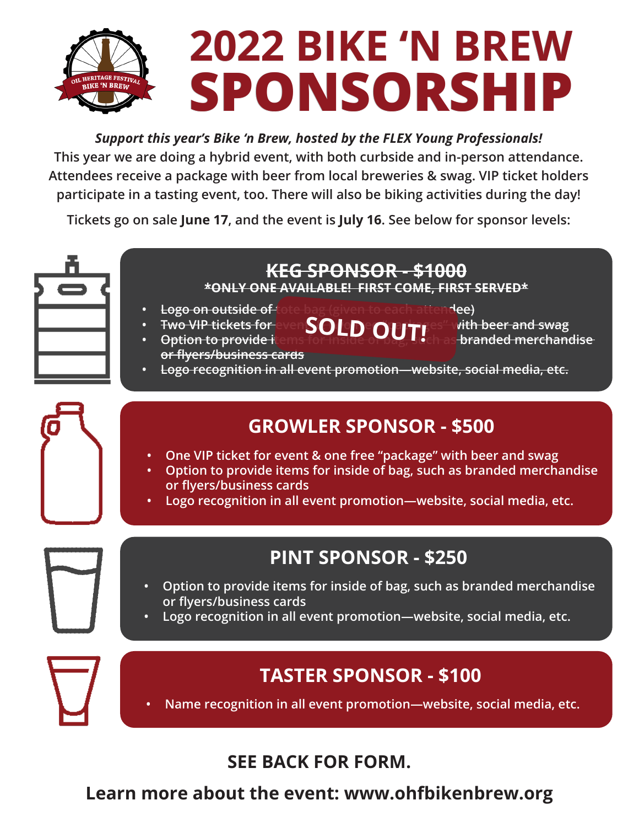# **2022 BIKE 'N BREW 2022 BIKE 'N BREW SPONSORSHIP**

#### *Support this year's Bike 'n Brew, hosted by the FLEX Young Professionals!*

**This year we are doing a hybrid event, with both curbside and in-person attendance. Attendees receive a package with beer from local breweries & swag. VIP ticket holders participate in a tasting event, too. There will also be biking activities during the day!**

**Tickets go on sale June 17, and the event is July 16. See below for sponsor levels:**



#### **KEG SPONSOR - \$1000 \*ONLY ONE AVAILABLE! FIRST COME, FIRST SERVED\***

- **• Logo on outside of tote bag (given to each attendee)**
	- -

**•** Fwo VIP tickets for even **SOLD OUT!** State with beer and swag<br>• Antion to provide it and **SOLD OUT!** The abranded merchan **•** Option to provide items for inside of building branded merchandise

**or flyers/business cards • Logo recognition in all event promotion—website, social media, etc.**

### **GROWLER SPONSOR - \$500**

- **• One VIP ticket for event & one free "package" with beer and swag**
- **• Option to provide items for inside of bag, such as branded merchandise or flyers/business cards**
- **• Logo recognition in all event promotion—website, social media, etc.**

## **PINT SPONSOR - \$250**

- **• Option to provide items for inside of bag, such as branded merchandise or flyers/business cards**
- **• Logo recognition in all event promotion—website, social media, etc.**

### **TASTER SPONSOR - \$100**

**• Name recognition in all event promotion—website, social media, etc.**

#### **SEE BACK FOR FORM.**

**Learn more about the event: www.ohfbikenbrew.org**